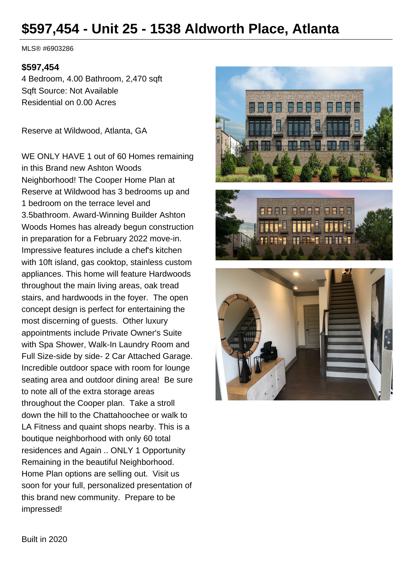# **\$597,454 - Unit 25 - 1538 Aldworth Place, Atlanta**

MLS® #6903286

#### **\$597,454**

4 Bedroom, 4.00 Bathroom, 2,470 sqft Sqft Source: Not Available Residential on 0.00 Acres

Reserve at Wildwood, Atlanta, GA

WE ONLY HAVE 1 out of 60 Homes remaining in this Brand new Ashton Woods Neighborhood! The Cooper Home Plan at Reserve at Wildwood has 3 bedrooms up and 1 bedroom on the terrace level and 3.5bathroom. Award-Winning Builder Ashton Woods Homes has already begun construction in preparation for a February 2022 move-in. Impressive features include a chef's kitchen with 10ft island, gas cooktop, stainless custom appliances. This home will feature Hardwoods throughout the main living areas, oak tread stairs, and hardwoods in the foyer. The open concept design is perfect for entertaining the most discerning of guests. Other luxury appointments include Private Owner's Suite with Spa Shower, Walk-In Laundry Room and Full Size-side by side- 2 Car Attached Garage. Incredible outdoor space with room for lounge seating area and outdoor dining area! Be sure to note all of the extra storage areas throughout the Cooper plan. Take a stroll down the hill to the Chattahoochee or walk to LA Fitness and quaint shops nearby. This is a boutique neighborhood with only 60 total residences and Again .. ONLY 1 Opportunity Remaining in the beautiful Neighborhood. Home Plan options are selling out. Visit us soon for your full, personalized presentation of this brand new community. Prepare to be impressed!





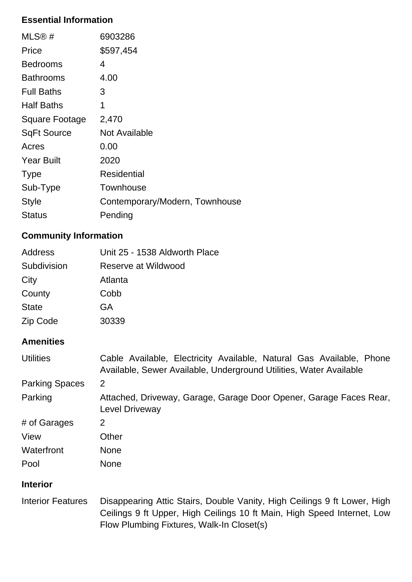# **Essential Information**

| MLS@#              | 6903286                        |
|--------------------|--------------------------------|
| Price              | \$597,454                      |
| <b>Bedrooms</b>    | 4                              |
| <b>Bathrooms</b>   | 4.00                           |
| <b>Full Baths</b>  | 3                              |
| <b>Half Baths</b>  | 1                              |
| Square Footage     | 2,470                          |
| <b>SqFt Source</b> | <b>Not Available</b>           |
| Acres              | 0.00                           |
| <b>Year Built</b>  | 2020                           |
| <b>Type</b>        | Residential                    |
| Sub-Type           | Townhouse                      |
| <b>Style</b>       | Contemporary/Modern, Townhouse |
| <b>Status</b>      | Pending                        |

# **Community Information**

| Address      | Unit 25 - 1538 Aldworth Place |
|--------------|-------------------------------|
| Subdivision  | Reserve at Wildwood           |
| City         | Atlanta                       |
| County       | Cobb                          |
| <b>State</b> | GA                            |
| Zip Code     | 30339                         |
|              |                               |

### **Amenities**

| <b>Utilities</b>      | Cable Available, Electricity Available, Natural Gas Available, Phone<br>Available, Sewer Available, Underground Utilities, Water Available |
|-----------------------|--------------------------------------------------------------------------------------------------------------------------------------------|
| <b>Parking Spaces</b> | 2                                                                                                                                          |
| Parking               | Attached, Driveway, Garage, Garage Door Opener, Garage Faces Rear,<br><b>Level Driveway</b>                                                |
| # of Garages          | 2                                                                                                                                          |
| View                  | Other                                                                                                                                      |
| Waterfront            | <b>None</b>                                                                                                                                |
| Pool                  | <b>None</b>                                                                                                                                |

### **Interior**

Interior Features Disappearing Attic Stairs, Double Vanity, High Ceilings 9 ft Lower, High Ceilings 9 ft Upper, High Ceilings 10 ft Main, High Speed Internet, Low Flow Plumbing Fixtures, Walk-In Closet(s)